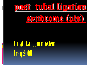# post tubal ligation



Dr ali kareem moslem Iraq 2009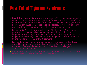# Post Tubal Ligation Syndrome

- **Post Tubal Ligation Syndrome:** Iatrogenesis affects that create negative health conditions after a tubal ligation or female sterilization surgery. Can be hormonal and or physical in nature. Health changes both physical and hormonal can cause mental health to be affected, causing loss of sexual drive for the woman, memory loss, depression, anger and rage.
- Iatrogenesis: A Greek word which means "doctor-caused" or "doctor produced". It is a medical term meaning harm done by doctors, or negative side effect(s) caused by a medical treatment or procedure. The negative side effect(s) can be due to error, negligence, or can be caused by the standard protocal of the treatment.
- Iatroepidemic: An epidemic of bad outcomes or negative side effects caused by doctors and their medical treatment(s) and procedures. Examples of iatroepidemics include DES, and Post Tubal Ligation
- Adenomyosis: A common iatrogenesis condition of tubal ligation. Causes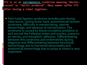PTS is an an [iatrogenesis](http://members.tripod.com/~sterilization_rights/history.html) condition meaning "doctorcaused" or "doctor produced". Many women suffer PTS **lafter having a tubal ligation.** 

 **Post-tubal ligation syndrome includes pain during intercourse, aching lower back, premenstrual tension syndrome, difficulty in menstruating, uterine hemorrhage, and absence of menstruation. The syndrome is caused by blood circulation problems in and around the Fallopian tubes and ovaries, pressure on nerves, and intrapelvic adhesion. Differentiating between this syndrome and endometritis during diagnosis and differentiating between functional hemorrhage due to hormonal abnormality and anatomical hemorrhage due to polyp or tumor is very important.**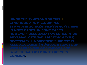**Since the symptoms of this syndrome are mild, simple symptomatic treatment is sufficient in most cases. In some cases, however, desquamation surgery or reversal of tubal ligation may be necessary. Endoscopic surgery is IUDs, tubal ligation is not very common.**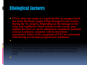# Etiological factores

.

 **PTS is often the result of a rapid decline in estrogen levels due from the blood supply being damaged to the ovaries during the TL surgery. Depending on the damage to the veins and capillaries, blood volume to the ovaries may slightly decrease or can be eliminated completely (isolated ovarian syndrome, common with hysterectomy operations). Many of the symptoms of PTS are associated with having an estrogen/progesterone imbalance**.

damaged, effected by the TL surgery impairing the blood supply to areas of that organ/mussel) or a combination of both.

 $\bullet$  symptoms, such has heavy painful periods may be avy painful periods may be available periods may be a symptoms may be a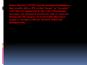Other theories of PST and the hormonal imbalance that results after a TL is that "target" or "receptor" cells that are important in the relay of hormonal messages are damaged, destroyed, and or removed during the TL surgery. It is derivable that these target or receptor cells are located within the fallopian tube.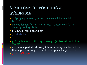## SYMPTOMS OF POST TUBAL SYNDROME

- 1. Eptopic pregnancy or pregnancy (welll known risk of tubals)
- 1a.Hot flashes, flushes, night sweats and/or cold flashes, clammy feeling, chills
- 2. Bouts of rapid heart beat
- 3. Irritability
- $\bullet$  . Mood swings, sudden tears winds the swings sudden team of  $\bullet$

- 5. Trouble sleeping through the night (with or without night sweats)
- 6. Irregular periods; shorter, lighter periods; heavier periods, flooding; phantom periods, shorter cycles, longer cycles
- 7. Loss of libido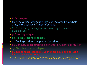#### 8. Dry vagina

- 8a.Itchy vagina-at time raw like, can radiated from whole area, with absence of yeast infections.
- 8b.Color change in vaginal area. (color gets darker purple/black)
- 9. Crashing fatigue
- 10. Anxiety, feeling ill at ease
- 11.Feelings of dread, apprehension, doom
- 12. Difficulty concentrating, disorientation, mental confusion
- 13. Disturbing memory lapses
- 14.Incontinence, especially upon sneezing, laughing; urge
- 14a. Prolapse of uterus do to rapid decress in estrogen levels.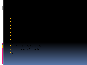# **21.Sudden bouts of bloat**

- **22.Depression (see note)**
- 
- $\bullet$  17. Increased tension in muscles tension in muscles tension in muscles tension in muscles tension in muscles tension in  $\mathcal{L}$
- $\bullet$  16. Achiens, muscles and tendons (see note), muscles and tendons (see note), muscles and tendons (see note), muscles and tendons (see note),  $\bullet$
- $\bullet$
- 
- 
- - - - - - -
						-
					-
					-
					-
				-
				-
				-
				-
			-
		-
		-
- 18.Breast tenderness
- 18a. Decress in breast mass
	- - - -
			-
			-
- - -
- 
- 
- 
- 
- $\bullet$  19. Headache change: increase or decrease or decrease or decrease or decrease or decrease or decrease or decrease or decrease or decrease or decrease or decrease or decrease or decrease or decrease or decrease or dec
	- -
- 
- -
- 
- 
- 
- -
- 
- -
- 20.Gastrointestinal distress, indigestion, flatulence, gas
	-
- 
- 
- -
	-
	-
	-
	-
	-
	-
- -
	-
	-
	-

- 
- $\bullet$ s
- 
- 
- 
- 

i<br>L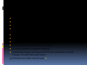#### **•** 30. Tingling in the extremities, (see note)

23.Exacerbation of existing conditions

 $\bullet$ 

 $\bullet$ 

28.Changes in body odor

- **31.Gum problems, increased bleeding**
- 32.Burning tongue, burning roof of mouth, bad taste in mouth, change in breath odor (see notes)

27.Dizziness, light-headedness, episodes of loss of balance

29.Electric "shock" or "stabbing" sensation under the skin.

 $\bullet$ .

33. Osteoporosis (after several year o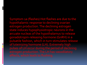Symptom 1a (flashes) Hot flashes are due to the hypothalamic response to declining ovarian estrogen production. The declining estrogen state induces hypophysiotropic neurons in the arcuate nucleas of the hypothalamus to release gonadotropin-releasing hormone (GnRH) in a pulsatile fashion, which in turn stimulates release of luteinizing hormone (LH). Extremely high pulses of LH occur during the period of declining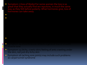Symptom 7 (loss of libido) For some women the loss is so great that they actually find sex repulsive, in much the same way as they felt before puberty. What hormones give, loss of hormones can take away.

 $\bullet$  (Italy and or raw value  $\bullet$ ) A normal value  $\bullet$ 

 $\bullet$  (dry variable intercourse in painful intercourse in painful intercourse in painful intercourse in painful intercourse

## Symptom 14 (incontinence) reflects a general loss of smooth

 $\bullet$  includes thoughts of death, thoughts of death, thoughts of death, thoughts of death, thoughts of death, the death, the death, the death, the death, the death, the death, the death, the death, the death, the death, th

- **•** Symptom 15 (itchy, crawly skin) feeling of ants crawling under the skin, not just dry itchy skin
- Symptom 16 (aching sore joints) may include such problems as carpal tunnel syndrome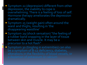- Symptom 22 (depression) different from other depression, the inability to cope is overwhelming. There is a feeling of loss of self. Hormone therapy ameliorates the depression dramatically.
- **Symptom 25 (weight gain) often around the** waist and thighs, resulting in 'the disappearing waistline'
- Symptom 29 (shock sensation) "the feeling of a rubber band snapping in the layer of tissue between skin and muscle. It may be a precursor to a hot flash"

 $\overline{\phantom{a}}$ 

• Symptom 30 (tingling in extremities) can also be a symptom of B-12 deficiency, diabetes,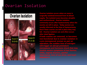### Ovarian Isolation

## **Ovarian Isolation**



**Ovarian isolation occurs when an ovary is surgically isolated/removed from its blood supply. The isolated ovary becomes atrophic and nonfunctional. Ovarian isolation commonly occurs after hysterectomy when the ovaries are left in place. Today women are usually informed at the time of hysterectomy that if their ovaries are left in place they may fail. Ovarian isolation can and often occurs after tubal ligation.** 

**If both ovaries are removed, or becomes non-functional due to ovarian isolation in a pre-menopausal woman as part an operation, the sudden loss of estrogen will trigger an abrupt premature menopause and hormone shock that may involve severe symptoms of hot flashes,**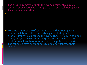The surgical removal of both the ovaries, (either by surgical removal or by ovarian isolation) causes a "surgical menopause", AKA "female castration"

 $\bullet$  women are commonly given misinformation that their ovaries  $\bullet$ 

 Post tubal women are often wrongly told that menopause, ovarian isolation, or the ovaries being affected by lack of blood supply is impossible because the ovaries have 2 sources of blood supply. As you can see in the diagram, just a little more then 1/2 of all women have two sources of blood supply to her ovaries. The other 1/2 have only one source of blood supply to their ovaries.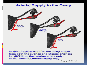#### **Arterial Supply to the Ovary**



In 56% of cases blood to the ovary comes from both the ovarian and uterine arteries; in 40% from the ovarian artery only; in 4% from the uterine artery only.

Copyright © 2000 sib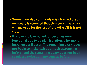#### **Women are also commonly misinformed that if one ovary is removed that the remaining ovary will make up for the loss of the other. This is not true.**

**• If one ovary is removed, or becomes nonfunctional due to ovarian isolation, a hormonal imbalance will occur. The remaining ovary does not begin to make twice as much estrogen as before, and the remaining ovary does not begin**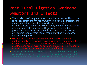#### Post Tubal Ligation Syndrome Symptoms and Effects

- The sudden loss/stoppage of estrogen, hormones, and hormone shock can affect brain function. Confusion, rage, depression, and memory loss that can mimic an alzheimer's type state can manifest. In addition to these symptoms, women who lose both ovaries, or lose the function of their ovaries also lose the protection these hormones provide against heart disease and osteoporosis many years earlier than if they had experienced natural menopause.
- Women who have had their ovaries removed or rendered nonfunctional due to ovarian isolation are seven times more likely to develop coronary heart disease and much more likely to develop bone problems at an early age than are pre-menopausal women whose ovaries are intact and functioning.
- The loss of hormones can be equal to and even more damaging with its long term outcome as post tubal syndromes immediate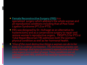- **[Female Reconstructive Surgery \(FRS\)](http://www.drhufnagel.com/)** is a specialized surgery which address's the whole woman and all reproductive conditions including that of Post Tubal Ligation Syndrome (PTLS or PTS).
- FRS was designed by Dr. Hufnagel as an alternative to hysterectomy and as a conservative surgery to repair and restore women's reproductive organs. FRS/PTLS for PTS or Tubal Repair/Reversal (TR) addresses both the woman's physical condition as well as her hormonal health.
- *"One of the most destructive things a woman can do to her body is to undergo sterilization. The sterilization process can cause damage and injury to women's reproductive and other*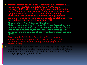- Many PTwomen opt for tubal repair/reversal, if possible, at the time of FRS/PTLS, but FRS/PTLS is NOT a tubal reversal. FRS/PTLS is much more then putting the tube(s) back. The many abnormalities which can occur that causes symptoms such as pelvic pain and DUB are initially addressed. FRS address's all the woman's reproductive organs affected or needing repair. Simply put, tubal reversal does not correct post tubal syndrome (PTS<sup>-</sup>
- **Shown below: The Affects of Banding** FRS can restore fertility for some PTwomen depending on a number of factors which include the techniques used at the time of her sterilization, the extent of tissue damage that occurred, and the number of abnormalities found at the time of FRS.
- Shown on the left is the effect of banding on a young woman. The resulting condition caused her pain and discomfort in which she was repeatedly suggested hysterectomy.

 $\overline{\phantom{a}}$ 

 At the time of a tubal reversal, in all likelihood, she would not be informed of the existing condition, but simply told, "There was not enough tube on your right side to reverse", or "your changes pregnancy are low", etc...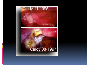

# Cindy 08-1997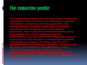# The endocrine profile

**The endocrine profile of the midluteal phase was assessed in 29 patients with posttubal ligation syndrome, consisting of pain, bleeding, and premenstrual tension. Compared to normal controls, the patients had a high serum estradiol and a low serum progesterone level. This abnormal luteal function may be responsible for the symptoms observed and may also explain the failure to conceive following successful reversal of tubal ligation. It is recommended that patients seeking sterilization reversal be screened for abnormal luteal function preoperatively. Selection of**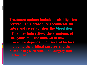**Treatment options include a tubal ligation reversal. This procedure reconnects the tubes and re establishes the [blood flow](http://pregnancy.families.com/blog/post-tubal-ligation-syndrome) . This may help relieve the symptoms of the syndrome. The success of this procedure depends upon several factors including the original surgery and the number of years since the surgery was**